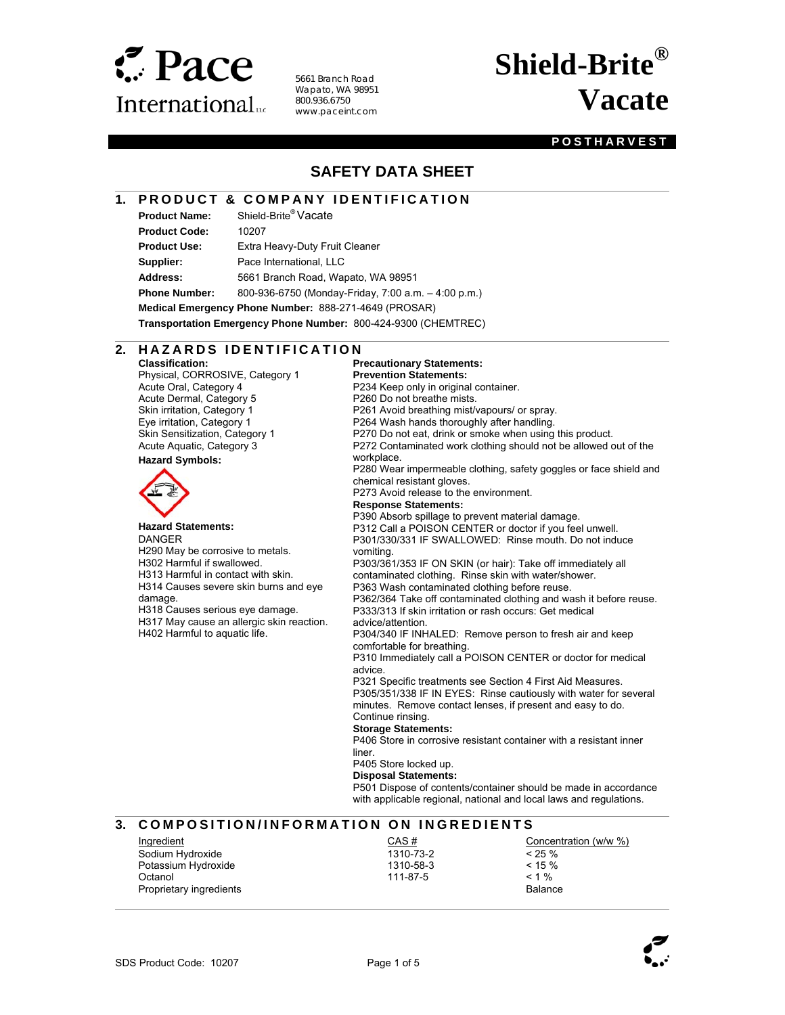

5661 Branch Road Wapato, WA 98951 800.936.6750 www.paceint.com

# **Shield-Brite® Vacate**

#### **POSTHARVEST**

# **SAFETY DATA SHEET**

#### **1. PRODUCT & COMPANY IDENTIFICATION**

**Product Name:** Shield-Brite® Vacate **Product Code:** 10207

l

 $\overline{a}$ 

**Product Use:** Extra Heavy-Duty Fruit Cleaner

**Supplier:** Pace International, LLC

**Address:** 5661 Branch Road, Wapato, WA 98951

**Phone Number:** 800-936-6750 (Monday-Friday, 7:00 a.m. – 4:00 p.m.)

**Medical Emergency Phone Number:** 888-271-4649 (PROSAR)

**Transportation Emergency Phone Number:** 800-424-9300 (CHEMTREC)

#### **2. HAZARDS IDENTIFICATION**

**Classification:**  Physical, CORROSIVE, Category 1 Acute Oral, Category 4 Acute Dermal, Category 5 Skin irritation, Category 1 Eye irritation, Category 1 Skin Sensitization, Category 1 Acute Aquatic, Category 3

#### **Hazard Symbols:**



#### **Hazard Statements:**

DANGER H290 May be corrosive to metals. H302 Harmful if swallowed. H313 Harmful in contact with skin. H314 Causes severe skin burns and eye damage.

H318 Causes serious eye damage. H317 May cause an allergic skin reaction.

H402 Harmful to aquatic life.

**Precautionary Statements: Prevention Statements:**  P234 Keep only in original container. P260 Do not breathe mists. P261 Avoid breathing mist/vapours/ or spray. P264 Wash hands thoroughly after handling. P270 Do not eat, drink or smoke when using this product. P272 Contaminated work clothing should not be allowed out of the workplace. P280 Wear impermeable clothing, safety goggles or face shield and chemical resistant gloves. P273 Avoid release to the environment. **Response Statements:**  P390 Absorb spillage to prevent material damage. P312 Call a POISON CENTER or doctor if you feel unwell. P301/330/331 IF SWALLOWED: Rinse mouth. Do not induce vomiting. P303/361/353 IF ON SKIN (or hair): Take off immediately all contaminated clothing. Rinse skin with water/shower. P363 Wash contaminated clothing before reuse. P362/364 Take off contaminated clothing and wash it before reuse. P333/313 If skin irritation or rash occurs: Get medical advice/attention. P304/340 IF INHALED: Remove person to fresh air and keep comfortable for breathing. P310 Immediately call a POISON CENTER or doctor for medical advice. P321 Specific treatments see Section 4 First Aid Measures. P305/351/338 IF IN EYES: Rinse cautiously with water for several minutes. Remove contact lenses, if present and easy to do. Continue rinsing. **Storage Statements:**  P406 Store in corrosive resistant container with a resistant inner liner. P405 Store locked up. **Disposal Statements:**  P501 Dispose of contents/container should be made in accordance

with applicable regional, national and local laws and regulations.

#### **3. COMPOSITION/INFORMATION ON INGREDIENTS**

| Ingredient              | CAS#      | Concentration (w/w %) |
|-------------------------|-----------|-----------------------|
| Sodium Hydroxide        | 1310-73-2 | $< 25 \%$             |
| Potassium Hydroxide     | 1310-58-3 | $< 15 \%$             |
| Octanol                 | 111-87-5  | $< 1 \%$              |
| Proprietary ingredients |           | <b>Balance</b>        |

 $\overline{\phantom{a}}$ 

 $\overline{a}$ 



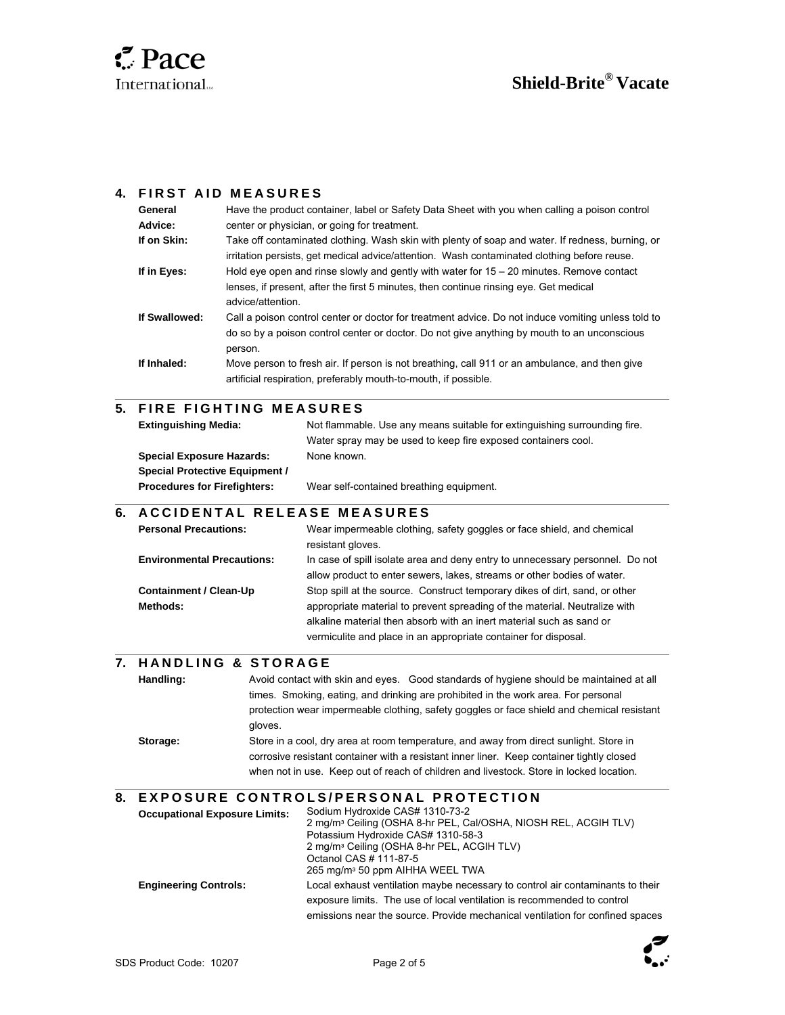

l

l

 $\overline{\phantom{a}}$ 

l

### **4. FIRST AID MEASURES**

| General       | Have the product container, label or Safety Data Sheet with you when calling a poison control                                                                                                                |
|---------------|--------------------------------------------------------------------------------------------------------------------------------------------------------------------------------------------------------------|
| Advice:       | center or physician, or going for treatment.                                                                                                                                                                 |
| If on Skin:   | Take off contaminated clothing. Wash skin with plenty of soap and water. If redness, burning, or<br>irritation persists, get medical advice/attention. Wash contaminated clothing before reuse.              |
| If in Eyes:   | Hold eye open and rinse slowly and gently with water for $15 - 20$ minutes. Remove contact<br>lenses, if present, after the first 5 minutes, then continue rinsing eye. Get medical<br>advice/attention.     |
| If Swallowed: | Call a poison control center or doctor for treatment advice. Do not induce vomiting unless told to<br>do so by a poison control center or doctor. Do not give anything by mouth to an unconscious<br>person. |
| If Inhaled:   | Move person to fresh air. If person is not breathing, call 911 or an ambulance, and then give<br>artificial respiration, preferably mouth-to-mouth, if possible.                                             |

# **5. FIRE FIGHTING MEASURES**

| <b>Extinguishing Media:</b>           | Not flammable. Use any means suitable for extinguishing surrounding fire. |
|---------------------------------------|---------------------------------------------------------------------------|
|                                       | Water spray may be used to keep fire exposed containers cool.             |
| <b>Special Exposure Hazards:</b>      | None known.                                                               |
| <b>Special Protective Equipment /</b> |                                                                           |
| <b>Procedures for Firefighters:</b>   | Wear self-contained breathing equipment.                                  |

#### **6. A C C I D E N T A L RELEASE MEASURES**

| <b>Personal Precautions:</b>      | Wear impermeable clothing, safety goggles or face shield, and chemical<br>resistant gloves.                                                              |
|-----------------------------------|----------------------------------------------------------------------------------------------------------------------------------------------------------|
| <b>Environmental Precautions:</b> | In case of spill isolate area and deny entry to unnecessary personnel. Do not<br>allow product to enter sewers, lakes, streams or other bodies of water. |
| <b>Containment / Clean-Up</b>     | Stop spill at the source. Construct temporary dikes of dirt, sand, or other                                                                              |
| Methods:                          | appropriate material to prevent spreading of the material. Neutralize with                                                                               |
|                                   | alkaline material then absorb with an inert material such as sand or                                                                                     |
|                                   | vermiculite and place in an appropriate container for disposal.                                                                                          |

#### **7. H A N D L I N G & S T O R A G E**

| Handling: | Avoid contact with skin and eyes. Good standards of hygiene should be maintained at all    |
|-----------|--------------------------------------------------------------------------------------------|
|           | times. Smoking, eating, and drinking are prohibited in the work area. For personal         |
|           | protection wear impermeable clothing, safety goggles or face shield and chemical resistant |
|           | aloves.                                                                                    |
| Storage:  | Store in a cool, dry area at room temperature, and away from direct sunlight. Store in     |
|           | corrosive resistant container with a resistant inner liner. Keep container tightly closed  |
|           | when not in use. Keep out of reach of children and livestock. Store in locked location.    |
|           |                                                                                            |

#### **8. E X P O S U R E C O N T R O L S / P E R S O N A L P R O T E C T I O N**

| <b>Occupational Exposure Limits:</b> | Sodium Hydroxide CAS# 1310-73-2                                                |  |
|--------------------------------------|--------------------------------------------------------------------------------|--|
|                                      | 2 mg/m <sup>3</sup> Ceiling (OSHA 8-hr PEL, Cal/OSHA, NIOSH REL, ACGIH TLV)    |  |
|                                      | Potassium Hydroxide CAS# 1310-58-3                                             |  |
|                                      | 2 mg/m <sup>3</sup> Ceiling (OSHA 8-hr PEL, ACGIH TLV)                         |  |
|                                      | Octanol CAS # 111-87-5                                                         |  |
|                                      | 265 mg/m <sup>3</sup> 50 ppm AIHHA WEEL TWA                                    |  |
| <b>Engineering Controls:</b>         | Local exhaust ventilation maybe necessary to control air contaminants to their |  |
|                                      | exposure limits. The use of local ventilation is recommended to control        |  |
|                                      | emissions near the source. Provide mechanical ventilation for confined spaces  |  |

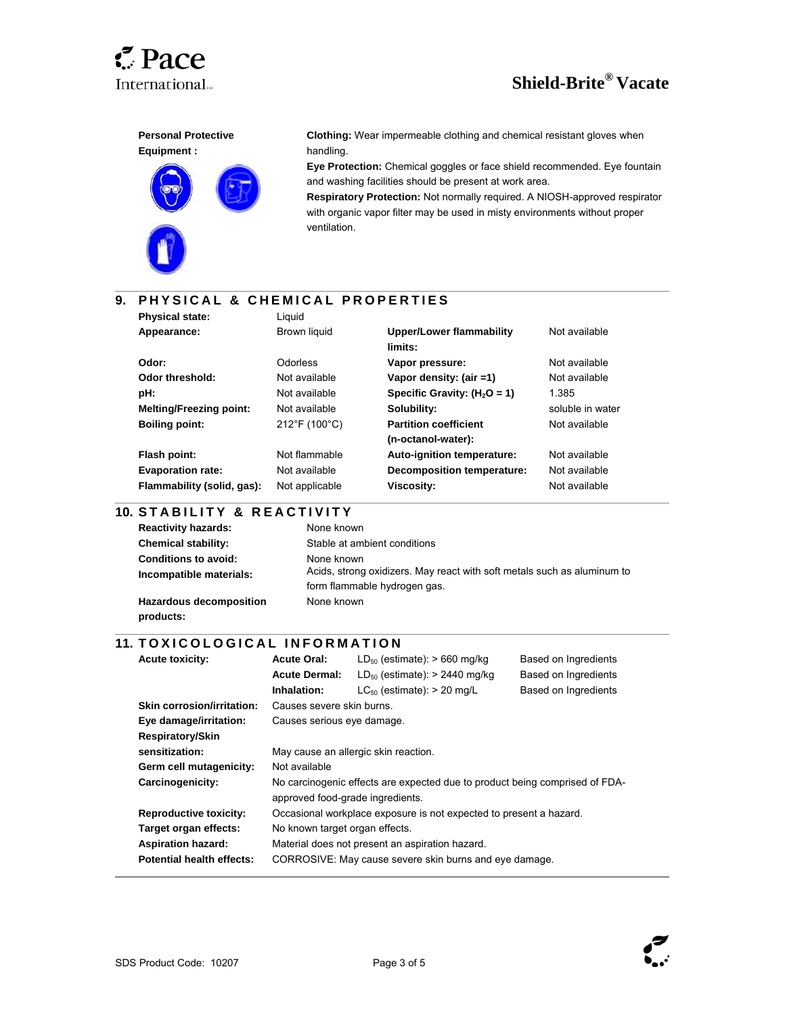

 $\overline{a}$ 

l

 $\overline{\phantom{a}}$ 







**Clothing:** Wear impermeable clothing and chemical resistant gloves when handling.

**Eye Protection:** Chemical goggles or face shield recommended. Eye fountain and washing facilities should be present at work area.

**Respiratory Protection:** Not normally required. A NIOSH-approved respirator with organic vapor filter may be used in misty environments without proper ventilation.

# **9. PHYSICAL & CHEMICAL PROPERTIES**

| <b>Physical state:</b>         | Liauid         |                                 |                  |
|--------------------------------|----------------|---------------------------------|------------------|
| Appearance:                    | Brown liquid   | <b>Upper/Lower flammability</b> | Not available    |
|                                |                | limits:                         |                  |
| Odor:                          | Odorless       | Vapor pressure:                 | Not available    |
| Odor threshold:                | Not available  | Vapor density: (air =1)         | Not available    |
| pH:                            | Not available  | Specific Gravity: $(H2O = 1)$   | 1.385            |
| <b>Melting/Freezing point:</b> | Not available  | Solubility:                     | soluble in water |
| <b>Boiling point:</b>          | 212°F (100°C)  | <b>Partition coefficient</b>    | Not available    |
|                                |                | (n-octanol-water):              |                  |
| Flash point:                   | Not flammable  | Auto-ignition temperature:      | Not available    |
| <b>Evaporation rate:</b>       | Not available  | Decomposition temperature:      | Not available    |
| Flammability (solid, gas):     | Not applicable | Viscosity:                      | Not available    |
|                                |                |                                 |                  |

#### l **10. STABILITY & REACTIVITY**

| <b>Reactivity hazards:</b>     | None known                                                              |
|--------------------------------|-------------------------------------------------------------------------|
| <b>Chemical stability:</b>     | Stable at ambient conditions                                            |
| <b>Conditions to avoid:</b>    | None known                                                              |
| Incompatible materials:        | Acids, strong oxidizers. May react with soft metals such as aluminum to |
|                                | form flammable hydrogen gas.                                            |
| <b>Hazardous decomposition</b> | None known                                                              |
| products:                      |                                                                         |

#### **11. TOXICOLOGICAL INFORMATION**

| <b>Acute toxicity:</b>            | <b>Acute Oral:</b>                                                                                              | $LD_{50}$ (estimate): $> 660$ mg/kg | Based on Ingredients |
|-----------------------------------|-----------------------------------------------------------------------------------------------------------------|-------------------------------------|----------------------|
|                                   | <b>Acute Dermal:</b>                                                                                            | $LD_{50}$ (estimate): > 2440 mg/kg  | Based on Ingredients |
|                                   | Inhalation:                                                                                                     | $LC_{50}$ (estimate): > 20 mg/L     | Based on Ingredients |
| <b>Skin corrosion/irritation:</b> | Causes severe skin burns.                                                                                       |                                     |                      |
| Eye damage/irritation:            | Causes serious eye damage.                                                                                      |                                     |                      |
| <b>Respiratory/Skin</b>           |                                                                                                                 |                                     |                      |
| sensitization:                    | May cause an allergic skin reaction.                                                                            |                                     |                      |
| Germ cell mutagenicity:           | Not available                                                                                                   |                                     |                      |
| Carcinogenicity:                  | No carcinogenic effects are expected due to product being comprised of FDA-<br>approved food-grade ingredients. |                                     |                      |
|                                   |                                                                                                                 |                                     |                      |
| <b>Reproductive toxicity:</b>     | Occasional workplace exposure is not expected to present a hazard.                                              |                                     |                      |
| Target organ effects:             | No known target organ effects.                                                                                  |                                     |                      |
| <b>Aspiration hazard:</b>         | Material does not present an aspiration hazard.                                                                 |                                     |                      |
| <b>Potential health effects:</b>  | CORROSIVE: May cause severe skin burns and eye damage.                                                          |                                     |                      |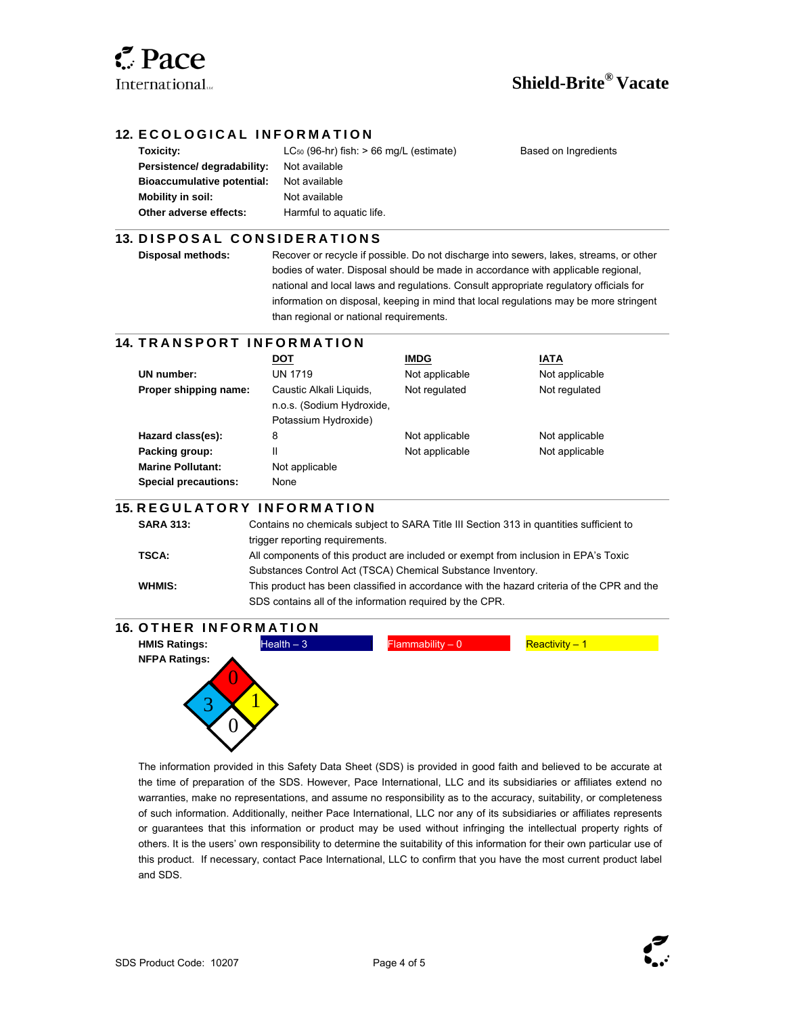

 $\overline{a}$ 

 $\overline{\phantom{a}}$ 

l

# **Shield-Brite® Vacate**

#### **12. ECOLOGICAL INFORMATION**

**Persistence/ degradability:** Not available **Bioaccumulative potential:** Not available **Mobility in soil:** Not available **Other adverse effects:** Harmful to aquatic life.

**Toxicity: LC**<sub>50</sub> (96-hr) fish: > 66 mg/L (estimate) Based on Ingredients

#### **13. DISPOSAL CONSIDERATIONS**

**Disposal methods:** Recover or recycle if possible. Do not discharge into sewers, lakes, streams, or other bodies of water. Disposal should be made in accordance with applicable regional, national and local laws and regulations. Consult appropriate regulatory officials for information on disposal, keeping in mind that local regulations may be more stringent than regional or national requirements.

#### l **14. T R A N S P O R T I N F O R M A T I O N**

|                             | <b>DOT</b>                | <b>IMDG</b>    | IATA           |
|-----------------------------|---------------------------|----------------|----------------|
| UN number:                  | <b>UN 1719</b>            | Not applicable | Not applicable |
| Proper shipping name:       | Caustic Alkali Liquids,   | Not regulated  | Not regulated  |
|                             | n.o.s. (Sodium Hydroxide, |                |                |
|                             | Potassium Hydroxide)      |                |                |
| Hazard class(es):           | 8                         | Not applicable | Not applicable |
| Packing group:              | Ш                         | Not applicable | Not applicable |
| <b>Marine Pollutant:</b>    | Not applicable            |                |                |
| <b>Special precautions:</b> | None                      |                |                |

#### **15. R E G U L A T O R Y I N F O R M A T I O N**

| <b>SARA 313:</b> | Contains no chemicals subject to SARA Title III Section 313 in quantities sufficient to    |
|------------------|--------------------------------------------------------------------------------------------|
|                  | trigger reporting requirements.                                                            |
| TSCA:            | All components of this product are included or exempt from inclusion in EPA's Toxic        |
|                  | Substances Control Act (TSCA) Chemical Substance Inventory.                                |
| WHMIS:           | This product has been classified in accordance with the hazard criteria of the CPR and the |
|                  | SDS contains all of the information required by the CPR.                                   |
|                  |                                                                                            |

# **16. OTHER INFORMATION**



The information provided in this Safety Data Sheet (SDS) is provided in good faith and believed to be accurate at the time of preparation of the SDS. However, Pace International, LLC and its subsidiaries or affiliates extend no warranties, make no representations, and assume no responsibility as to the accuracy, suitability, or completeness of such information. Additionally, neither Pace International, LLC nor any of its subsidiaries or affiliates represents or guarantees that this information or product may be used without infringing the intellectual property rights of others. It is the users' own responsibility to determine the suitability of this information for their own particular use of this product. If necessary, contact Pace International, LLC to confirm that you have the most current product label and SDS.